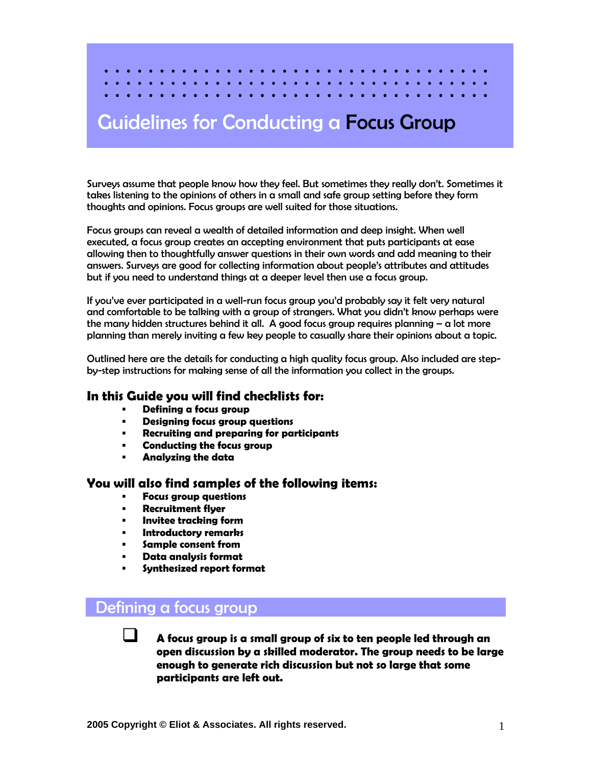# Guidelines for Conducting a Focus Group

Surveys assume that people know how they feel. But sometimes they really don't. Sometimes it takes listening to the opinions of others in a small and safe group setting before they form thoughts and opinions. Focus groups are well suited for those situations.

Focus groups can reveal a wealth of detailed information and deep insight. When well executed, a focus group creates an accepting environment that puts participants at ease allowing then to thoughtfully answer questions in their own words and add meaning to their answers. Surveys are good for collecting information about people's attributes and attitudes but if you need to understand things at a deeper level then use a focus group.

If you've ever participated in a well-run focus group you'd probably say it felt very natural and comfortable to be talking with a group of strangers. What you didn't know perhaps were the many hidden structures behind it all. A good focus group requires planning  $-\alpha$  lot more planning than merely inviting a few key people to casually share their opinions about a topic.

Outlined here are the details for conducting a high quality focus group. Also included are stepby-step instructions for making sense of all the information you collect in the groups.

### **In this Guide you will find checklists for:**

- **Defining a focus group**
- **Designing focus group questions**
- **Recruiting and preparing for participants**
- **Conducting the focus group**
- **Analyzing the data**

### **You will also find samples of the following items:**

- **Focus group questions**
- **Recruitment flyer**
- **Invitee tracking form**
- **Introductory remarks**
- **Sample consent from**
- **Data analysis format**
- **Synthesized report format**

## Defining a focus group

 **A focus group is a small group of six to ten people led through an open discussion by a skilled moderator. The group needs to be large enough to generate rich discussion but not so large that some participants are left out.**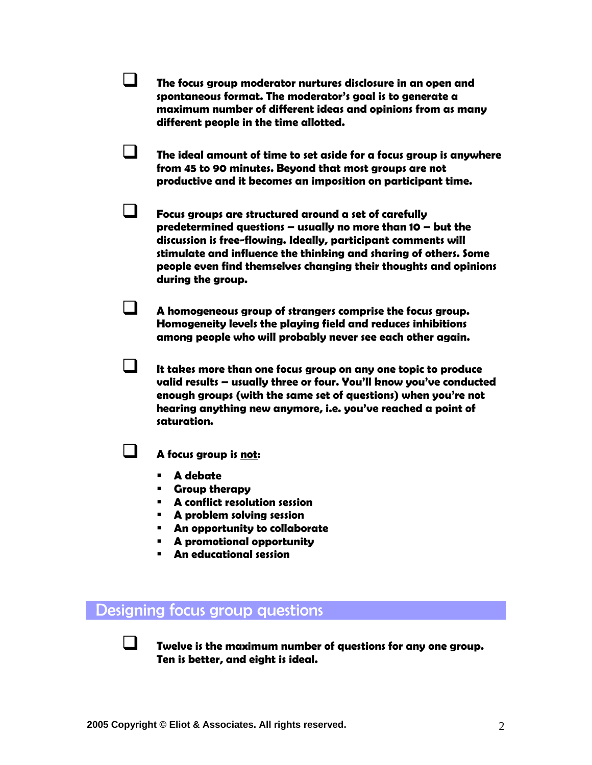**The focus group moderator nurtures disclosure in an open and spontaneous format. The moderator's goal is to generate a maximum number of different ideas and opinions from as many different people in the time allotted.** 

 **The ideal amount of time to set aside for a focus group is anywhere from 45 to 90 minutes. Beyond that most groups are not productive and it becomes an imposition on participant time.** 

 **Focus groups are structured around a set of carefully predetermined questions – usually no more than 10 – but the discussion is free-flowing. Ideally, participant comments will stimulate and influence the thinking and sharing of others. Some people even find themselves changing their thoughts and opinions during the group.**

 **A homogeneous group of strangers comprise the focus group. Homogeneity levels the playing field and reduces inhibitions among people who will probably never see each other again.**

 **It takes more than one focus group on any one topic to produce valid results – usually three or four. You'll know you've conducted enough groups (with the same set of questions) when you're not hearing anything new anymore, i.e. you've reached a point of saturation.** 

**A focus group is not:** 

- **A debate**
- **Group therapy**
- **A conflict resolution session**
- **A problem solving session**
- **An opportunity to collaborate**
- **A promotional opportunity**
- **An educational session**

### Designing focus group questions

 **Twelve is the maximum number of questions for any one group. Ten is better, and eight is ideal.**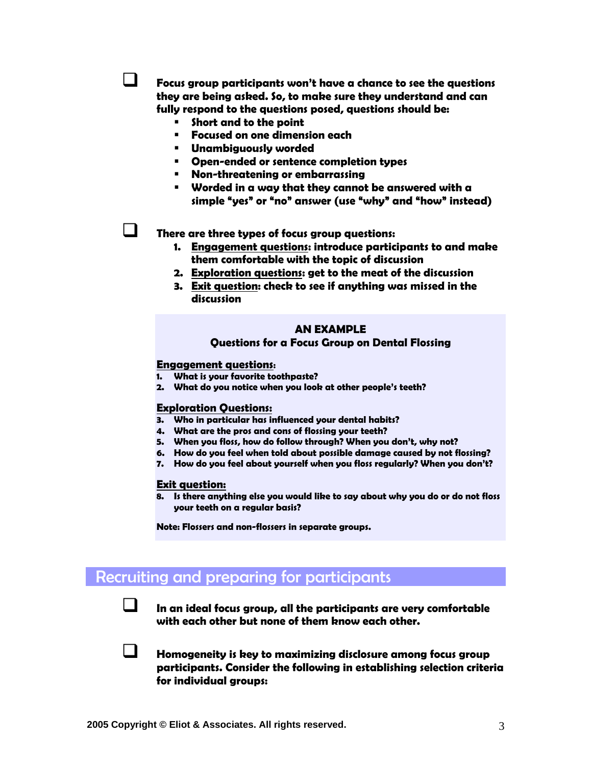**Focus group participants won't have a chance to see the questions they are being asked. So, to make sure they understand and can fully respond to the questions posed, questions should be:** 

- **Short and to the point**
- **Focused on one dimension each**
- **Unambiguously worded**
- **Open-ended or sentence completion types**
- **Non-threatening or embarrassing**
- **Worded in a way that they cannot be answered with a simple "yes" or "no" answer (use "why" and "how" instead)**

**There are three types of focus group questions:** 

- **1. Engagement questions: introduce participants to and make them comfortable with the topic of discussion**
- **2. Exploration questions: get to the meat of the discussion**
- **3. Exit question: check to see if anything was missed in the discussion**

### **AN EXAMPLE**

### **Questions for a Focus Group on Dental Flossing**

#### **Engagement questions:**

- **1. What is your favorite toothpaste?**
- **2. What do you notice when you look at other people's teeth?**

#### **Exploration Questions:**

- **3. Who in particular has influenced your dental habits?**
- **4. What are the pros and cons of flossing your teeth?**
- **5. When you floss, how do follow through? When you don't, why not?**
- **6. How do you feel when told about possible damage caused by not flossing?**
- **7. How do you feel about yourself when you floss regularly? When you don't?**

### **Exit question:**

**8. Is there anything else you would like to say about why you do or do not floss your teeth on a regular basis?** 

**Note: Flossers and non-flossers in separate groups.** 

### Recruiting and preparing for participants

 **In an ideal focus group, all the participants are very comfortable with each other but none of them know each other.** 



 **Homogeneity is key to maximizing disclosure among focus group participants. Consider the following in establishing selection criteria for individual groups:**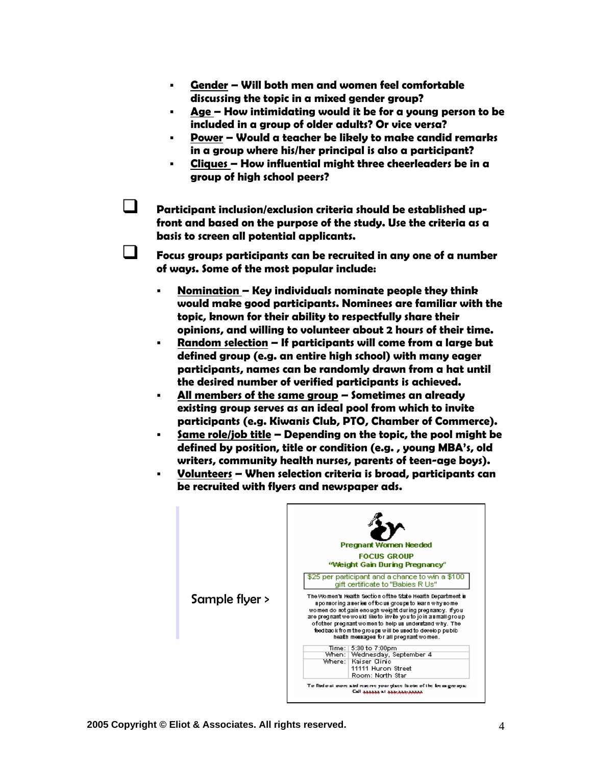- **Gender Will both men and women feel comfortable discussing the topic in a mixed gender group?**
- **Age How intimidating would it be for a young person to be included in a group of older adults? Or vice versa?**
- **Power Would a teacher be likely to make candid remarks in a group where his/her principal is also a participant?**
- **Cliques How influential might three cheerleaders be in a group of high school peers?**

 **Participant inclusion/exclusion criteria should be established upfront and based on the purpose of the study. Use the criteria as a basis to screen all potential applicants.** 

 **Focus groups participants can be recruited in any one of a number of ways. Some of the most popular include:** 

- **Nomination Key individuals nominate people they think would make good participants. Nominees are familiar with the topic, known for their ability to respectfully share their opinions, and willing to volunteer about 2 hours of their time.**
- **Random selection If participants will come from a large but defined group (e.g. an entire high school) with many eager participants, names can be randomly drawn from a hat until the desired number of verified participants is achieved.**
- **All members of the same group Sometimes an already existing group serves as an ideal pool from which to invite participants (e.g. Kiwanis Club, PTO, Chamber of Commerce).**
- **Same role/job title Depending on the topic, the pool might be defined by position, title or condition (e.g. , young MBA's, old writers, community health nurses, parents of teen-age boys).**
- **Volunteers When selection criteria is broad, participants can be recruited with flyers and newspaper ads.**

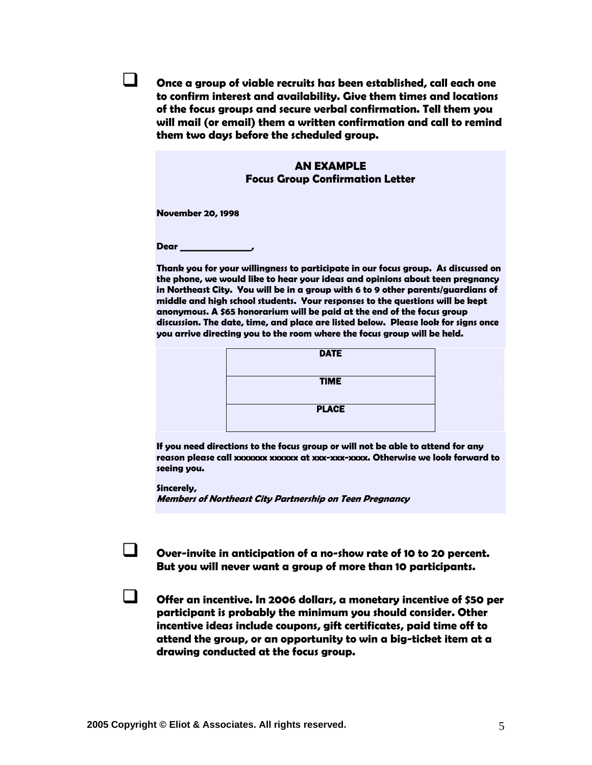**Once a group of viable recruits has been established, call each one to confirm interest and availability. Give them times and locations of the focus groups and secure verbal confirmation. Tell them you will mail (or email) them a written confirmation and call to remind them two days before the scheduled group.** 

### **AN EXAMPLE Focus Group Confirmation Letter**

**November 20, 1998** 

**Dear \_\_\_\_\_\_\_\_\_\_\_\_\_\_\_\_,** 

**Thank you for your willingness to participate in our focus group. As discussed on the phone, we would like to hear your ideas and opinions about teen pregnancy in Northeast City. You will be in a group with 6 to 9 other parents/guardians of middle and high school students. Your responses to the questions will be kept anonymous. A \$65 honorarium will be paid at the end of the focus group discussion. The date, time, and place are listed below. Please look for signs once you arrive directing you to the room where the focus group will be held.** 



**If you need directions to the focus group or will not be able to attend for any reason please call xxxxxxx xxxxxx at xxx-xxx-xxxx. Otherwise we look forward to seeing you.** 

**Sincerely,** 

**Members of Northeast City Partnership on Teen Pregnancy** 

 **Over-invite in anticipation of a no-show rate of 10 to 20 percent. But you will never want a group of more than 10 participants.** 

 **Offer an incentive. In 2006 dollars, a monetary incentive of \$50 per participant is probably the minimum you should consider. Other incentive ideas include coupons, gift certificates, paid time off to attend the group, or an opportunity to win a big-ticket item at a drawing conducted at the focus group.**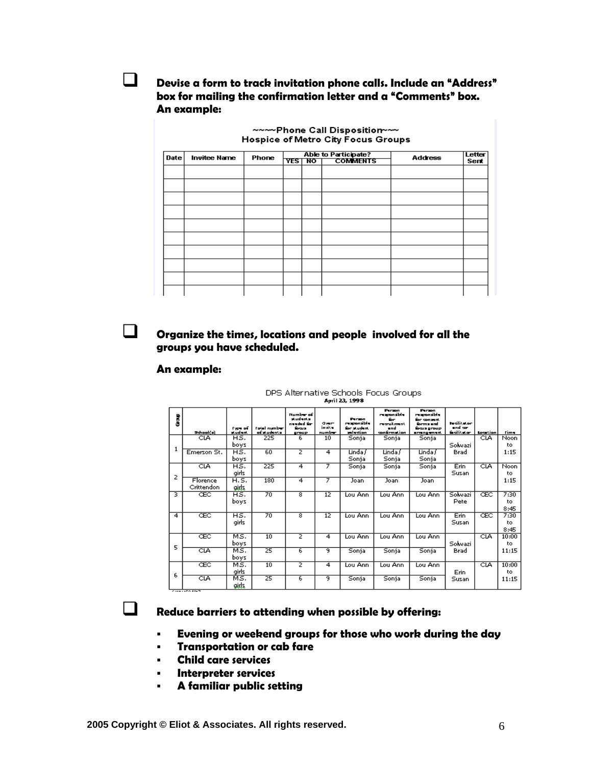**Devise a form to track invitation phone calls. Include an "Address" box for mailing the confirmation letter and a "Comments" box. An example:** 

**NAMPhone Call Disposition-MA** 

|             | <b>THAT'S AND PIPPASITALL</b><br>Hospice of Metro City Focus Groups |       |                                                               |  |  |                |                |  |
|-------------|---------------------------------------------------------------------|-------|---------------------------------------------------------------|--|--|----------------|----------------|--|
| <b>Date</b> | <b>Invitee Name</b>                                                 | Phone | <b>Able to Participate?</b><br><b>COMMENTS</b><br>YES 1<br>NO |  |  | <b>Address</b> | Letter<br>Sent |  |
|             |                                                                     |       |                                                               |  |  |                |                |  |
|             |                                                                     |       |                                                               |  |  |                |                |  |
|             |                                                                     |       |                                                               |  |  |                |                |  |
|             |                                                                     |       |                                                               |  |  |                |                |  |
|             |                                                                     |       |                                                               |  |  |                |                |  |
|             |                                                                     |       |                                                               |  |  |                |                |  |
|             |                                                                     |       |                                                               |  |  |                |                |  |
|             |                                                                     |       |                                                               |  |  |                |                |  |
|             |                                                                     |       |                                                               |  |  |                |                |  |
|             |                                                                     |       |                                                               |  |  |                |                |  |
|             |                                                                     |       |                                                               |  |  |                |                |  |

### **Organize the times, locations and people involved for all the groups you have scheduled.**

### **An example:**

#### DPS Alternative Schools Focus Groups April 23, 1998

| ğ              | School(a)              | <b>Type of</b><br>stüdent. | Fotal number<br>of students. | Number of<br>students<br>naadad for<br>focus.<br>group | owe-<br>invite<br>number | Parson.<br>responsible<br>for student<br><b>selection</b> | Person<br>responsible<br>for.<br>menuk mant<br>d<br>confirmation | Person.<br>responsible<br>for consent.<br>forms and<br><b>Sous group</b><br>arrangement. | <b>Funitie Apr</b><br>and any<br><b>Editect</b> | <b>Location</b> | <b>Time</b>         |
|----------------|------------------------|----------------------------|------------------------------|--------------------------------------------------------|--------------------------|-----------------------------------------------------------|------------------------------------------------------------------|------------------------------------------------------------------------------------------|-------------------------------------------------|-----------------|---------------------|
|                | CIA                    | HS.<br>boys                | 225                          | 6                                                      | 10                       | Sonja                                                     | Sonja                                                            | Sonja                                                                                    | Solwazi                                         | CIA             | Noon<br>to.         |
| 1              | Emerson St.            | HS.<br>boys                | 60                           | z                                                      | $\overline{4}$           | Linda /<br>Sonja                                          | Linda /<br>Sonja                                                 | Linda /<br>Sonja                                                                         | Brad                                            |                 | 1:15                |
| 2              | CIA                    | HS.<br>girls               | 225                          | 4                                                      | 7                        | Sonja                                                     | Sonia                                                            | Sonja                                                                                    | Erin<br>Susan                                   | CLA             | Noon<br>to.         |
|                | Florence<br>Crittendon | H. S.<br>gids              | 180                          | 4                                                      | 7                        | Joan                                                      | Joan                                                             | Joan                                                                                     |                                                 |                 | 1:15                |
| ਤ              | ŒC                     | HS.<br>boys                | 70                           | 8                                                      | 12                       | Lou Ann                                                   | Lou Ann                                                          | Lou Anni                                                                                 | Solwazi<br>Pete                                 | ŒC              | 7:30<br>to.<br>8:45 |
| $\overline{4}$ | ŒC                     | HS.<br>airls               | $\overline{70}$              | 8                                                      | 12                       | Lou Ann                                                   | Lou Ann                                                          | Lou Ann                                                                                  | Erin<br>Susan                                   | ŒC              | 7:30<br>to.<br>8:45 |
|                | ŒC                     | MS.<br>boys                | 10                           | 2                                                      | 4                        | Lou Ann                                                   | Lou Ann                                                          | Lou Ann                                                                                  | Solwazi                                         | CIA             | 10:00<br>to.        |
| 5              | CLA                    | MS.<br>zvod                | 25                           | 6                                                      | 9                        | Sonja                                                     | Sonja                                                            | Sonja                                                                                    | Brad                                            |                 | 11:15               |
| 6              | ŒC                     | MS.<br>girls               | 10                           | z                                                      | 4                        | Lou Ann                                                   | Lou Ann                                                          | Lou Ann                                                                                  | Erin                                            | CLA             | 10:00<br>to.        |
|                | CIA                    | MS.<br>gids                | 25                           | 6                                                      | ब                        | Sonja                                                     | Sonia                                                            | Sonja                                                                                    | Susan                                           |                 | 11:15               |

### **Reduce barriers to attending when possible by offering:**

- **Evening or weekend groups for those who work during the day**
- **Transportation or cab fare**
- **Child care services**
- **Interpreter services**
- **A familiar public setting**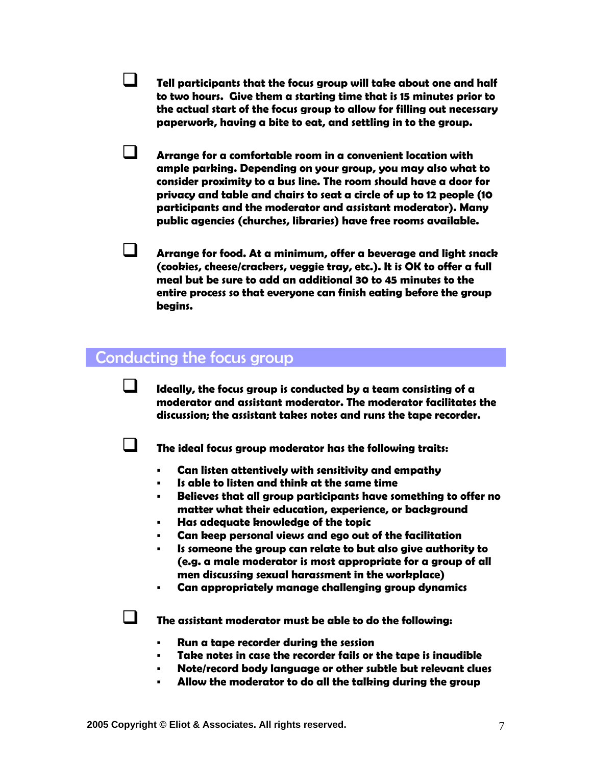**Tell participants that the focus group will take about one and half to two hours. Give them a starting time that is 15 minutes prior to the actual start of the focus group to allow for filling out necessary paperwork, having a bite to eat, and settling in to the group.** 

 **Arrange for a comfortable room in a convenient location with ample parking. Depending on your group, you may also what to consider proximity to a bus line. The room should have a door for privacy and table and chairs to seat a circle of up to 12 people (10 participants and the moderator and assistant moderator). Many public agencies (churches, libraries) have free rooms available.**

 **Arrange for food. At a minimum, offer a beverage and light snack (cookies, cheese/crackers, veggie tray, etc.). It is OK to offer a full meal but be sure to add an additional 30 to 45 minutes to the entire process so that everyone can finish eating before the group begins.** 

### Conducting the focus group

 **Ideally, the focus group is conducted by a team consisting of a moderator and assistant moderator. The moderator facilitates the discussion; the assistant takes notes and runs the tape recorder.** 



**The ideal focus group moderator has the following traits:** 

- **Can listen attentively with sensitivity and empathy**
- **Is able to listen and think at the same time**
- **Believes that all group participants have something to offer no matter what their education, experience, or background**
- **Has adequate knowledge of the topic**
- **Can keep personal views and ego out of the facilitation**
- **Is someone the group can relate to but also give authority to (e.g. a male moderator is most appropriate for a group of all men discussing sexual harassment in the workplace)**
- **Can appropriately manage challenging group dynamics**

**The assistant moderator must be able to do the following:** 

- **Run a tape recorder during the session**
- **Take notes in case the recorder fails or the tape is inaudible**
- **Note/record body language or other subtle but relevant clues**
- **Allow the moderator to do all the talking during the group**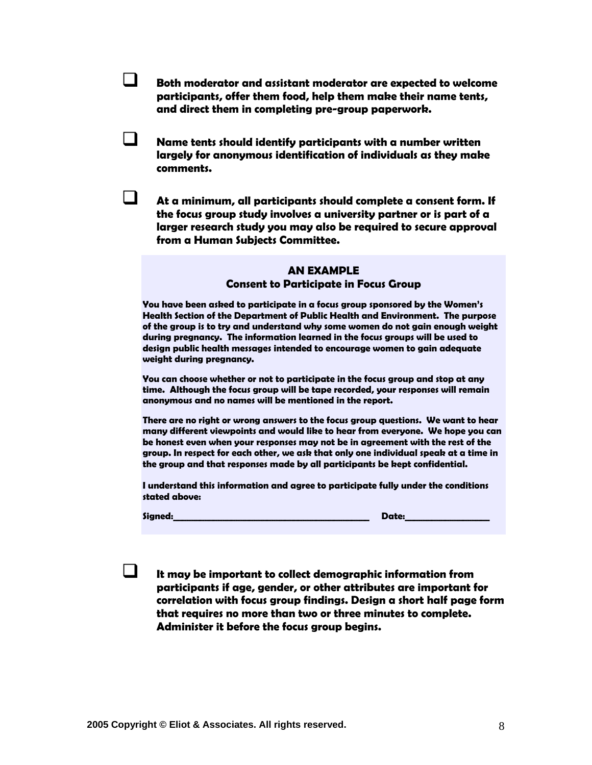**Both moderator and assistant moderator are expected to welcome participants, offer them food, help them make their name tents, and direct them in completing pre-group paperwork.** 

- **Name tents should identify participants with a number written largely for anonymous identification of individuals as they make comments.** 
	- **At a minimum, all participants should complete a consent form. If the focus group study involves a university partner or is part of a larger research study you may also be required to secure approval from a Human Subjects Committee.**

### **AN EXAMPLE Consent to Participate in Focus Group**

**You have been asked to participate in a focus group sponsored by the Women's Health Section of the Department of Public Health and Environment. The purpose of the group is to try and understand why some women do not gain enough weight during pregnancy. The information learned in the focus groups will be used to design public health messages intended to encourage women to gain adequate weight during pregnancy.** 

**You can choose whether or not to participate in the focus group and stop at any time. Although the focus group will be tape recorded, your responses will remain anonymous and no names will be mentioned in the report.** 

**There are no right or wrong answers to the focus group questions. We want to hear many different viewpoints and would like to hear from everyone. We hope you can be honest even when your responses may not be in agreement with the rest of the group. In respect for each other, we ask that only one individual speak at a time in the group and that responses made by all participants be kept confidential.** 

**I understand this information and agree to participate fully under the conditions stated above:** 

**Signed:\_\_\_\_\_\_\_\_\_\_\_\_\_\_\_\_\_\_\_\_\_\_\_\_\_\_\_\_\_\_\_\_\_\_\_\_\_\_\_\_\_\_\_\_ Date:\_\_\_\_\_\_\_\_\_\_\_\_\_\_\_\_\_\_\_** 

 **It may be important to collect demographic information from participants if age, gender, or other attributes are important for correlation with focus group findings. Design a short half page form that requires no more than two or three minutes to complete. Administer it before the focus group begins.**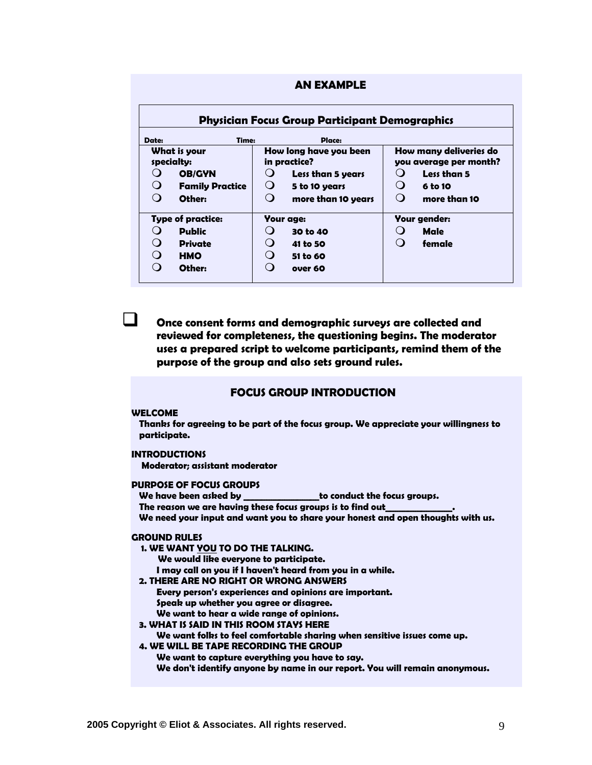| <b>AN EXAMPLE</b>                                     |                          |                        |                                        |                                                  |              |  |  |  |
|-------------------------------------------------------|--------------------------|------------------------|----------------------------------------|--------------------------------------------------|--------------|--|--|--|
| <b>Physician Focus Group Participant Demographics</b> |                          |                        |                                        |                                                  |              |  |  |  |
| Date:                                                 | Time:<br>Place:          |                        |                                        |                                                  |              |  |  |  |
| What is your<br>specialty:                            |                          |                        | How long have you been<br>in practice? | How many deliveries do<br>you average per month? |              |  |  |  |
| $\Omega$                                              | <b>OB/GYN</b>            | $\cup$                 | <b>Less than 5 years</b>               | $\Omega$                                         | Less than 5  |  |  |  |
| $\Omega$                                              | <b>Family Practice</b>   | $\cup$                 | 5 to 10 years                          | $\Omega$                                         | 6 to 10      |  |  |  |
|                                                       | Other:                   | ∩                      | more than 10 years                     | $\Omega$                                         | more than 10 |  |  |  |
|                                                       | <b>Type of practice:</b> |                        | <b>Your age:</b>                       | <b>Your gender:</b>                              |              |  |  |  |
| $\left( \right)$                                      | <b>Public</b>            | $\left( \quad \right)$ | 30 to 40                               |                                                  | Male         |  |  |  |
| $\Omega$                                              | <b>Private</b>           |                        | 41 to 50                               | $\Omega$                                         | female       |  |  |  |
|                                                       | <b>HMO</b>               |                        | 51 to 60                               |                                                  |              |  |  |  |
| $\Omega$                                              | Other:                   | 0                      | over 60                                |                                                  |              |  |  |  |
|                                                       |                          |                        |                                        |                                                  |              |  |  |  |

 **Once consent forms and demographic surveys are collected and reviewed for completeness, the questioning begins. The moderator uses a prepared script to welcome participants, remind them of the purpose of the group and also sets ground rules.** 

### **FOCUS GROUP INTRODUCTION**

### **WELCOME**

 **Thanks for agreeing to be part of the focus group. We appreciate your willingness to participate.** 

#### **INTRODUCTIONS**

 **Moderator; assistant moderator** 

### **PURPOSE OF FOCUS GROUPS**

 **We have been asked by \_\_\_\_\_\_\_\_\_\_\_\_\_\_\_\_\_to conduct the focus groups.**  The reason we are having these focus groups is to find out  **We need your input and want you to share your honest and open thoughts with us.** 

#### **GROUND RULES**

 **1. WE WANT YOU TO DO THE TALKING.** 

 **We would like everyone to participate.** 

 **I may call on you if I haven't heard from you in a while.** 

#### **2. THERE ARE NO RIGHT OR WRONG ANSWERS**

- **Every person's experiences and opinions are important. Speak up whether you agree or disagree. We want to hear a wide range of opinions.**
- **3. WHAT IS SAID IN THIS ROOM STAYS HERE**

### **We want folks to feel comfortable sharing when sensitive issues come up.**

### **4. WE WILL BE TAPE RECORDING THE GROUP**

 **We want to capture everything you have to say. We don't identify anyone by name in our report. You will remain anonymous.**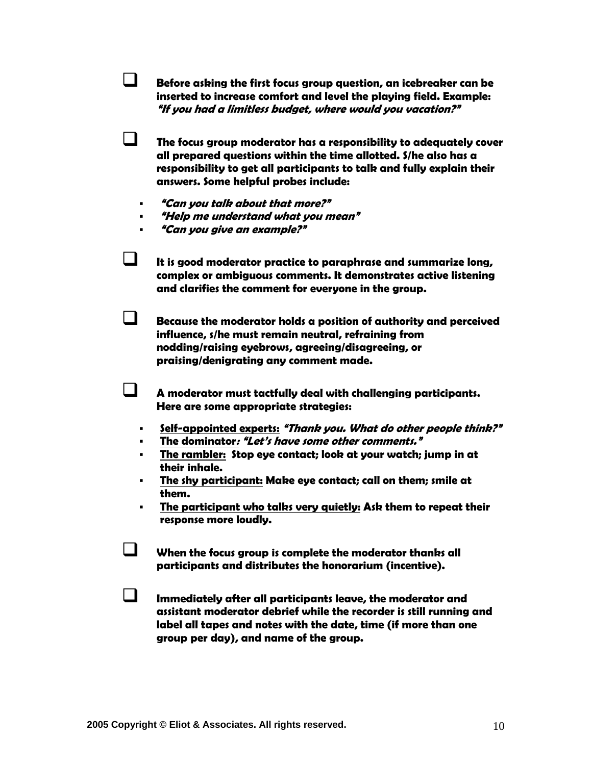**Before asking the first focus group question, an icebreaker can be inserted to increase comfort and level the playing field. Example: "If you had a limitless budget, where would you vacation?"** 

 **The focus group moderator has a responsibility to adequately cover all prepared questions within the time allotted. S/he also has a responsibility to get all participants to talk and fully explain their answers. Some helpful probes include:** 

- **"Can you talk about that more?"**
- **"Help me understand what you mean"**
- **"Can you give an example?"**

 **It is good moderator practice to paraphrase and summarize long, complex or ambiguous comments. It demonstrates active listening and clarifies the comment for everyone in the group.** 

 **Because the moderator holds a position of authority and perceived influence, s/he must remain neutral, refraining from nodding/raising eyebrows, agreeing/disagreeing, or praising/denigrating any comment made.** 

 **A moderator must tactfully deal with challenging participants. Here are some appropriate strategies:** 

- **Self-appointed experts: "Thank you. What do other people think?"**
- **The dominator: "Let's have some other comments."**
- **The rambler: Stop eye contact; look at your watch; jump in at their inhale.**
- **The shy participant: Make eye contact; call on them; smile at them.**
- **The participant who talks very quietly: Ask them to repeat their response more loudly.**

 **When the focus group is complete the moderator thanks all participants and distributes the honorarium (incentive).** 

 **Immediately after all participants leave, the moderator and assistant moderator debrief while the recorder is still running and label all tapes and notes with the date, time (if more than one group per day), and name of the group.**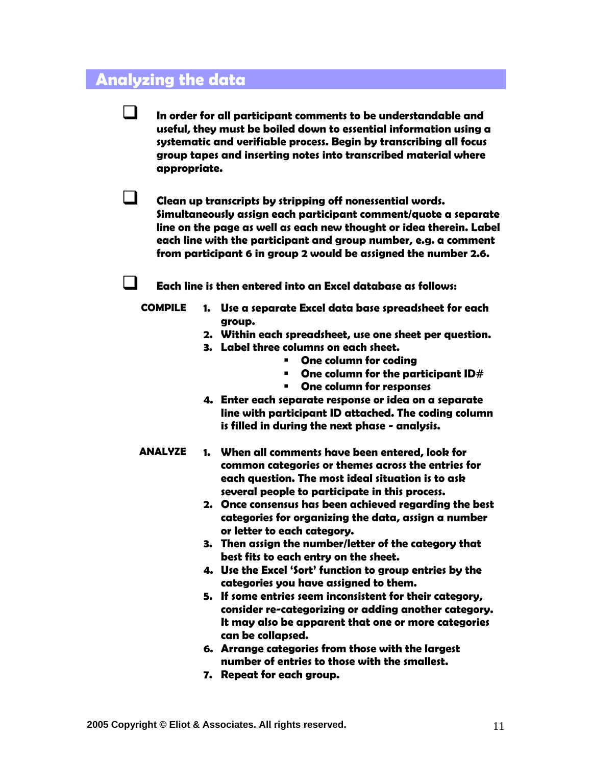### **Analyzing the data**

 **In order for all participant comments to be understandable and useful, they must be boiled down to essential information using a systematic and verifiable process. Begin by transcribing all focus group tapes and inserting notes into transcribed material where appropriate.** 

 **Clean up transcripts by stripping off nonessential words. Simultaneously assign each participant comment/quote a separate line on the page as well as each new thought or idea therein. Label each line with the participant and group number, e.g. a comment from participant 6 in group 2 would be assigned the number 2.6.** 

**Each line is then entered into an Excel database as follows:** 

- **COMPILE 1. Use a separate Excel data base spreadsheet for each group.** 
	- **2. Within each spreadsheet, use one sheet per question.**
	- **3. Label three columns on each sheet.** 
		- **One column for coding**
		- **One column for the participant ID#**
		- **One column for responses**
	- **4. Enter each separate response or idea on a separate line with participant ID attached. The coding column is filled in during the next phase - analysis.**
- **ANALYZE 1. When all comments have been entered, look for common categories or themes across the entries for each question. The most ideal situation is to ask several people to participate in this process.** 
	- **2. Once consensus has been achieved regarding the best categories for organizing the data, assign a number or letter to each category.**
	- **3. Then assign the number/letter of the category that best fits to each entry on the sheet.**
	- **4. Use the Excel 'Sort' function to group entries by the categories you have assigned to them.**
	- **5. If some entries seem inconsistent for their category, consider re-categorizing or adding another category. It may also be apparent that one or more categories can be collapsed.**
	- **6. Arrange categories from those with the largest number of entries to those with the smallest.**
	- **7. Repeat for each group.**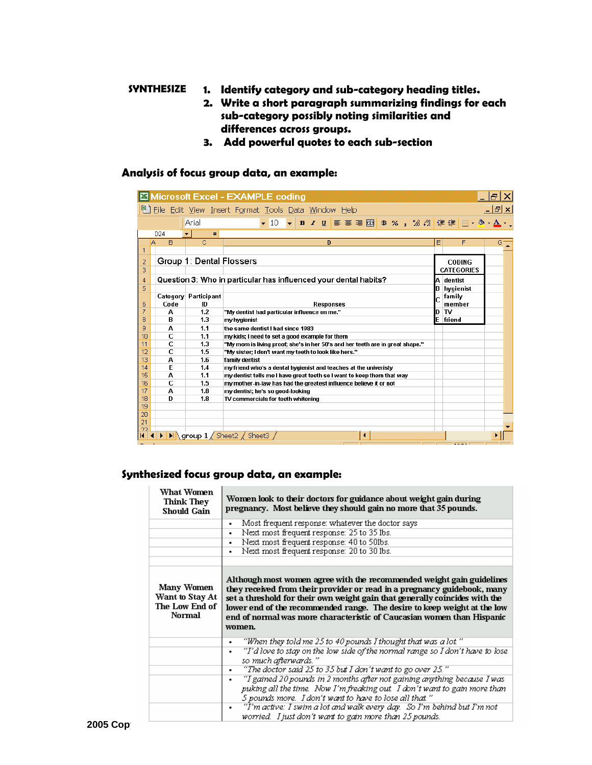### **SYNTHESIZE 1. Identify category and sub-category heading titles.**

- **2. Write a short paragraph summarizing findings for each sub-category possibly noting similarities and differences across groups.**
- **3. Add powerful quotes to each sub-section**

### **Analysis of focus group data, an example:**

|                                                                          |   |                 |                          | Microsoft Excel - EXAMPLE coding                                                                                                                    |   |                              | 18. |  |  |
|--------------------------------------------------------------------------|---|-----------------|--------------------------|-----------------------------------------------------------------------------------------------------------------------------------------------------|---|------------------------------|-----|--|--|
| [웹 Eile Edit View Insert Format Tools Data Window Help<br><u> - I레×I</u> |   |                 |                          |                                                                                                                                                     |   |                              |     |  |  |
|                                                                          |   |                 | Arial                    | ▼ 10 ▼ B Z U   W   W 国 B % , 18 .28   伊 伊   田 • 多 • ▲ ▼                                                                                             |   |                              |     |  |  |
|                                                                          |   | D <sub>24</sub> | $=$<br>$\blacksquare$    |                                                                                                                                                     |   |                              |     |  |  |
|                                                                          | Α | <sub>R</sub>    | C.                       | D                                                                                                                                                   | E | F                            | Gf  |  |  |
|                                                                          |   |                 |                          |                                                                                                                                                     |   |                              |     |  |  |
| 2                                                                        |   |                 | Group 1: Dental Flossers |                                                                                                                                                     |   | <b>CODING</b>                |     |  |  |
| 3                                                                        |   |                 |                          |                                                                                                                                                     |   | <b>CATEGORIES</b>            |     |  |  |
| 4                                                                        |   |                 |                          | Question 3: Who in particular has influenced your dental habits?                                                                                    | A | dentist                      |     |  |  |
| 5                                                                        |   |                 |                          |                                                                                                                                                     | B | hygienist                    |     |  |  |
|                                                                          |   |                 | Category Participant     |                                                                                                                                                     |   | family                       |     |  |  |
| 6                                                                        |   | Code            | ID                       | <b>Responses</b>                                                                                                                                    |   | member                       |     |  |  |
| 7                                                                        |   | А               | 1.2                      | "My dentist had particular influence on me."                                                                                                        | D | TV                           |     |  |  |
| 8                                                                        |   | В               | 1.3                      | my hygienist                                                                                                                                        | E | friend                       |     |  |  |
| 9                                                                        |   | А               | 1.1                      | the same dentist I had since 1983                                                                                                                   |   |                              |     |  |  |
| 10                                                                       |   | C               | 1.1                      | my kids; I need to set a good example for them                                                                                                      |   |                              |     |  |  |
| 11                                                                       |   | C               | 1.3                      | "My mom is living proof; she's in her 50's and her teeth are in great shape."                                                                       |   |                              |     |  |  |
| 12                                                                       |   | Ċ               | 1.5                      | "My sister; I don't want my teeth to look like hers."                                                                                               |   |                              |     |  |  |
| 13                                                                       |   | А               | 1.6                      | family dentist                                                                                                                                      |   |                              |     |  |  |
| 14<br>15                                                                 |   | E               | 1.4                      | my friend who's a dental hygienist and teaches at the univeristy                                                                                    |   |                              |     |  |  |
| 16                                                                       |   | А<br>C          | 1.1<br>1.5               | my dentist tells me I have great teeth so I want to keep them that way<br>my mother-in-law has had the greatest influence believe it or not         |   |                              |     |  |  |
| 17                                                                       |   | А               | 1.8                      | my dentist; he's so good-looking                                                                                                                    |   |                              |     |  |  |
| 18                                                                       |   | D               | 1.8                      | TV commercials for teeth whitening                                                                                                                  |   |                              |     |  |  |
| 19                                                                       |   |                 |                          |                                                                                                                                                     |   |                              |     |  |  |
| 20                                                                       |   |                 |                          |                                                                                                                                                     |   |                              |     |  |  |
| 21                                                                       |   |                 |                          |                                                                                                                                                     |   |                              |     |  |  |
| つつ                                                                       |   |                 |                          |                                                                                                                                                     |   |                              |     |  |  |
|                                                                          |   |                 |                          | $\blacktriangleright$ $\blacktriangleright$ $\blacktriangleright$ $\blacktriangleright$ group $1$ $\diagup$ Sheet2 $\diagup$ Sheet3 $\diagup$<br>◂∣ |   | <b><i><u>Protect</u></i></b> |     |  |  |

### **Synthesized focus group data, an example:**

| What Women<br><b>Think They</b><br>Should Gain            | Women look to their doctors for guidance about weight gain during<br>pregnancy. Most believe they should gain no more that 35 pounds.                                                                                                                                                                                                                                                            |  |  |  |  |  |
|-----------------------------------------------------------|--------------------------------------------------------------------------------------------------------------------------------------------------------------------------------------------------------------------------------------------------------------------------------------------------------------------------------------------------------------------------------------------------|--|--|--|--|--|
|                                                           | Most frequent response: whatever the doctor says<br>٠                                                                                                                                                                                                                                                                                                                                            |  |  |  |  |  |
|                                                           | Next most frequent response: 25 to 35 lbs.<br>٠                                                                                                                                                                                                                                                                                                                                                  |  |  |  |  |  |
|                                                           | Next most frequent response: 40 to 50lbs.<br>$\blacksquare$                                                                                                                                                                                                                                                                                                                                      |  |  |  |  |  |
|                                                           | Next most frequent response: 20 to 30 lbs.<br>٠                                                                                                                                                                                                                                                                                                                                                  |  |  |  |  |  |
|                                                           |                                                                                                                                                                                                                                                                                                                                                                                                  |  |  |  |  |  |
| Many Women<br>Want to Stay At<br>The Low End of<br>Normal | Although most women agree with the recommended weight gain guidelines<br>they received from their provider or read in a pregnancy guidebook, many<br>set a threshold for their own weight gain that generally coincides with the<br>lower end of the recommended range. The desire to keep weight at the low<br>end of normal was more characteristic of Caucasian women than Hispanic<br>women. |  |  |  |  |  |
|                                                           | "When they told me 25 to 40 pounds I thought that was a lot."<br>٠                                                                                                                                                                                                                                                                                                                               |  |  |  |  |  |
|                                                           | "I'd love to stay on the low side of the normal range so I don't have to lose<br>٠<br>so much afterwards."                                                                                                                                                                                                                                                                                       |  |  |  |  |  |
|                                                           | "The doctor said 25 to 35 but I don't want to go over 25."<br>٠                                                                                                                                                                                                                                                                                                                                  |  |  |  |  |  |
|                                                           | "I gained 20 pounds in 2 months after not gaining anything because I was<br>٠<br>puking all the time. Now I'm freaking out $I$ don't want to gain more than<br>5 pounds more. I don't want to have to lose all that."                                                                                                                                                                            |  |  |  |  |  |
|                                                           | "I'm active: I swim a lot and walk every day. So I'm behind but I'm not<br>٠<br>worried. I just don't want to gain more than 25 pounds.                                                                                                                                                                                                                                                          |  |  |  |  |  |